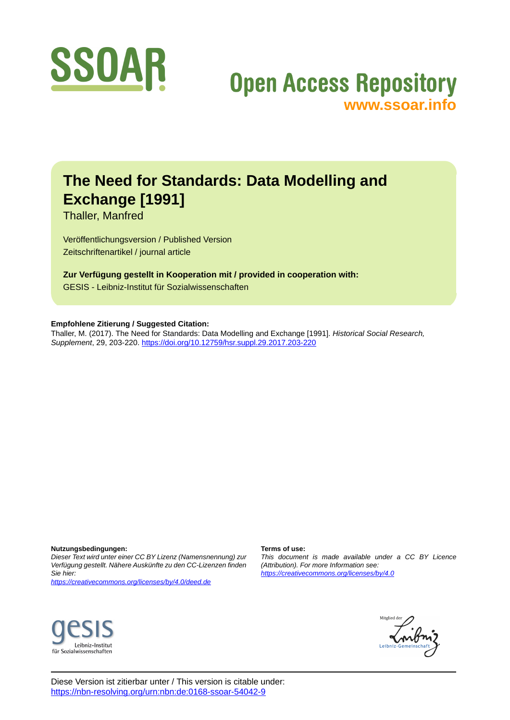

## **Open Access Repository [www.ssoar.info](http://www.ssoar.info)**

## **The Need for Standards: Data Modelling and Exchange [1991]**

Thaller, Manfred

Veröffentlichungsversion / Published Version Zeitschriftenartikel / journal article

**Zur Verfügung gestellt in Kooperation mit / provided in cooperation with:** GESIS - Leibniz-Institut für Sozialwissenschaften

#### **Empfohlene Zitierung / Suggested Citation:**

Thaller, M. (2017). The Need for Standards: Data Modelling and Exchange [1991]. *Historical Social Research, Supplement*, 29, 203-220. <https://doi.org/10.12759/hsr.suppl.29.2017.203-220>

**Nutzungsbedingungen:**

*Dieser Text wird unter einer CC BY Lizenz (Namensnennung) zur Verfügung gestellt. Nähere Auskünfte zu den CC-Lizenzen finden Sie hier:*

*<https://creativecommons.org/licenses/by/4.0/deed.de>*

## Leibniz-Institut für Sozialwissenschaften

#### **Terms of use:**

*This document is made available under a CC BY Licence (Attribution). For more Information see: <https://creativecommons.org/licenses/by/4.0>*



Diese Version ist zitierbar unter / This version is citable under: <https://nbn-resolving.org/urn:nbn:de:0168-ssoar-54042-9>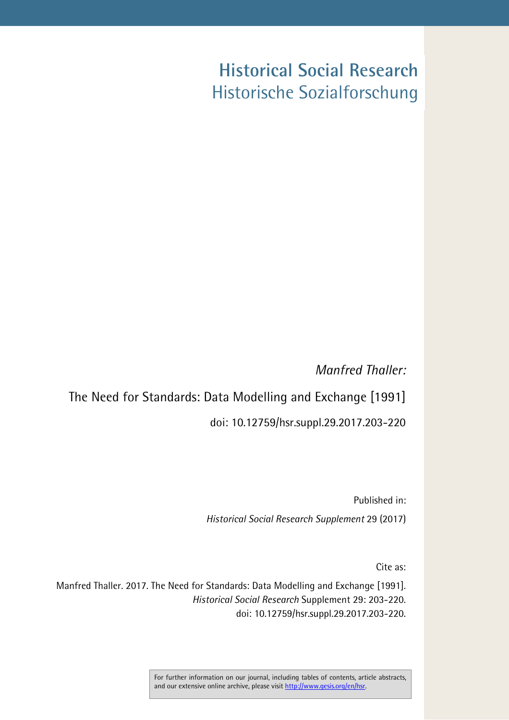# **Historical Social Research** Historische Sozialforschung

*Manfred Thaller:*

The Need for Standards: Data Modelling and Exchange [1991] doi: 10.12759/hsr.suppl.29.2017.203-220

> Published in: *Historical Social Research Supplement* 29 (2017)

> > Cite as:

Manfred Thaller. 2017. The Need for Standards: Data Modelling and Exchange [1991]. *Historical Social Research* Supplement 29: 203-220. doi: 10.12759/hsr.suppl.29.2017.203-220.

> For further information on our journal, including tables of contents, article abstracts, and our extensive online archive, please visit http://www.gesis.org/en/hsr.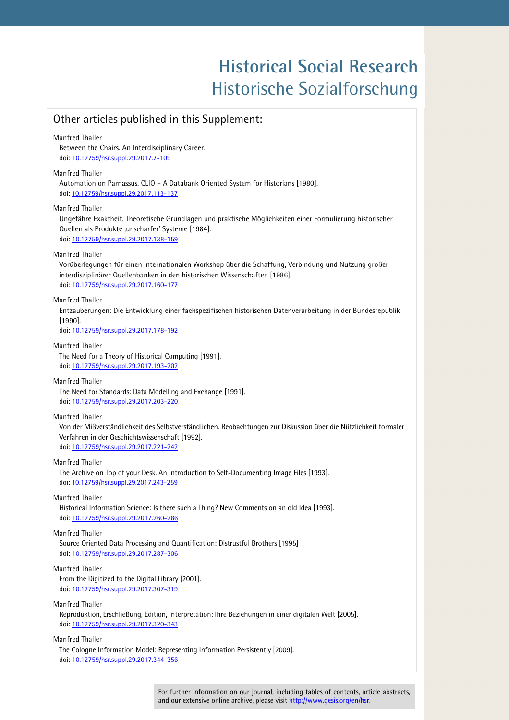# **Historical Social Research Historical Social Research** Historische Sozialforschung Historische Sozialforschung

### Other articles published in this Supplement:

#### Manfred Thaller

Between the Chairs. An Interdisciplinary Career. doi: [10.12759/hsr.suppl.29.2017.7-109](https://dx.doi.org/10.12759/hsr.suppl.29.2017.7-109)

#### Manfred Thaller

Automation on Parnassus. CLIO – A Databank Oriented System for Historians [1980]. doi: [10.12759/hsr.suppl.29.2017.113-137](https://dx.doi.org/10.12759/hsr.suppl.29.2017.113-137)

#### Manfred Thaller

Ungefähre Exaktheit. Theoretische Grundlagen und praktische Möglichkeiten einer Formulierung historischer Quellen als Produkte ,unscharfer' Systeme [1984]. doi: [10.12759/hsr.suppl.29.2017.138-159](https://dx.doi.org/10.12759/hsr.suppl.29.2017.138-159)

#### Manfred Thaller

Vorüberlegungen für einen internationalen Workshop über die Schaffung, Verbindung und Nutzung großer interdisziplinärer Quellenbanken in den historischen Wissenschaften [1986]. doi: [10.12759/hsr.suppl.29.2017.160-177](https://dx.doi.org/10.12759/hsr.suppl.29.2017.160-177) 

#### Manfred Thaller

Entzauberungen: Die Entwicklung einer fachspezifischen historischen Datenverarbeitung in der Bundesrepublik [1990].

doi: [10.12759/hsr.suppl.29.2017.178-192](https://dx.doi.org/10.12759/hsr.suppl.29.2017.178-192)

#### Manfred Thaller

The Need for a Theory of Historical Computing [1991]. doi: [10.12759/hsr.suppl.29.2017.193-202](https://dx.doi.org/10.12759/hsr.suppl.29.2017.193-202)

#### Manfred Thaller

The Need for Standards: Data Modelling and Exchange [1991]. doi: [10.12759/hsr.suppl.29.2017.203-220](https://dx.doi.org/10.12759/hsr.suppl.29.2017.203-220) 

#### Manfred Thaller

Von der Mißverständlichkeit des Selbstverständlichen. Beobachtungen zur Diskussion über die Nützlichkeit formaler Verfahren in der Geschichtswissenschaft [1992]. doi: [10.12759/hsr.suppl.29.2017.221-242](https://dx.doi.org/10.12759/hsr.suppl.29.2017.221-242) 

Manfred Thaller

The Archive on Top of your Desk. An Introduction to Self-Documenting Image Files [1993]. doi: [10.12759/hsr.suppl.29.2017.243-259](https://dx.doi.org/10.12759/hsr.suppl.29.2017.243-259)

#### Manfred Thaller

Historical Information Science: Is there such a Thing? New Comments on an old Idea [1993]. doi: [10.12759/hsr.suppl.29.2017.260-286](https://dx.doi.org/10.12759/hsr.suppl.29.2017.260-286)

#### Manfred Thaller

Source Oriented Data Processing and Quantification: Distrustful Brothers [1995] doi: [10.12759/hsr.suppl.29.2017.287-306](https://dx.doi.org/10.12759/hsr.suppl.29.2017.287-306) 

#### Manfred Thaller

From the Digitized to the Digital Library [2001]. doi: [10.12759/hsr.suppl.29.2017.307-319](https://dx.doi.org/10.12759/hsr.suppl.29.2017.307-319)

#### Manfred Thaller

Reproduktion, Erschließung, Edition, Interpretation: Ihre Beziehungen in einer digitalen Welt [2005]. doi: [10.12759/hsr.suppl.29.2017.320-343](https://dx.doi.org/10.12759/hsr.suppl.29.2017.320-343)

#### Manfred Thaller

The Cologne Information Model: Representing Information Persistently [2009]. doi: [10.12759/hsr.suppl.29.2017.344-356](https://dx.doi.org/10.12759/hsr.suppl.29.2017.344-356) 

> For further information on our journal, including tables of contents, article abstracts, and our extensive online archive, please visit http://www.gesis.org/en/hsr.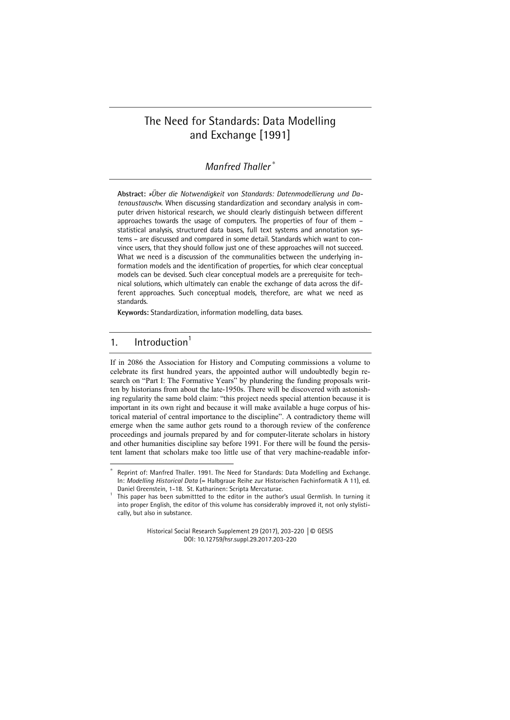### The Need for Standards: Data Modelling and Exchange [1991]

#### *Manfred Thaller* <sup>∗</sup>

Abstract: Ȇber die Notwendigkeit von Standards: Datenmodellierung und Da*tenaustausch«*. When discussing standardization and secondary analysis in computer driven historical research, we should clearly distinguish between different approaches towards the usage of computers. The properties of four of them – statistical analysis, structured data bases, full text systems and annotation systems – are discussed and compared in some detail. Standards which want to convince users, that they should follow just one of these approaches will not succeed. What we need is a discussion of the communalities between the underlying information models and the identification of properties, for which clear conceptual models can be devised. Such clear conceptual models are a prerequisite for technical solutions, which ultimately can enable the exchange of data across the different approaches. Such conceptual models, therefore, are what we need as standards.

**Keywords:** Standardization, information modelling, data bases.

### 1. Introduction $1$

1

If in 2086 the Association for History and Computing commissions a volume to celebrate its first hundred years, the appointed author will undoubtedly begin research on "Part I: The Formative Years" by plundering the funding proposals written by historians from about the late-1950s. There will be discovered with astonishing regularity the same bold claim: "this project needs special attention because it is important in its own right and because it will make available a huge corpus of historical material of central importance to the discipline". A contradictory theme will emerge when the same author gets round to a thorough review of the conference proceedings and journals prepared by and for computer-literate scholars in history and other humanities discipline say before 1991. For there will be found the persistent lament that scholars make too little use of that very machine-readable infor-

Historical Social Research Supplement 29 (2017), 203-220 │© GESIS DOI: 10.12759/hsr.suppl.29.2017.203-220

<sup>∗</sup> Reprint of: Manfred Thaller. 1991. The Need for Standards: Data Modelling and Exchange. In: *Modelling Historical Data* (= Halbgraue Reihe zur Historischen Fachinformatik A 11), ed. Daniel Greenstein, 1-18. St. Katharinen: Scripta Mercaturae.

This paper has been submittted to the editor in the author's usual Germlish. In turning it into proper English, the editor of this volume has considerably improved it, not only stylistically, but also in substance.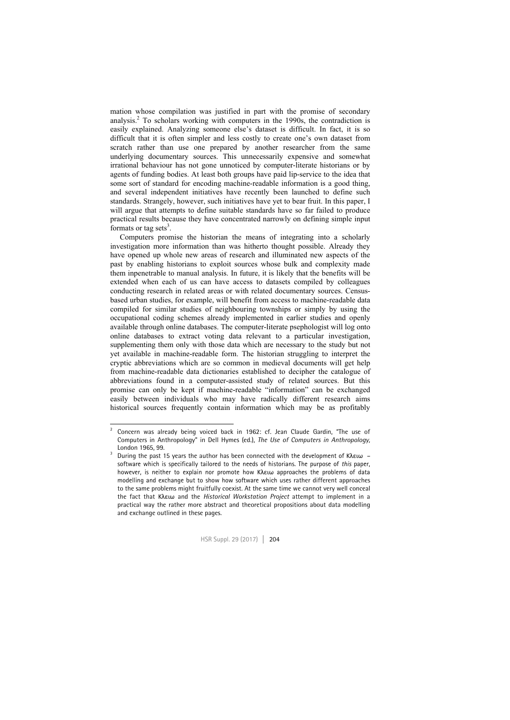mation whose compilation was justified in part with the promise of secondary analysis.2 To scholars working with computers in the 1990s, the contradiction is easily explained. Analyzing someone else's dataset is difficult. In fact, it is so difficult that it is often simpler and less costly to create one's own dataset from scratch rather than use one prepared by another researcher from the same underlying documentary sources. This unnecessarily expensive and somewhat irrational behaviour has not gone unnoticed by computer-literate historians or by agents of funding bodies. At least both groups have paid lip-service to the idea that some sort of standard for encoding machine-readable information is a good thing, and several independent initiatives have recently been launched to define such standards. Strangely, however, such initiatives have yet to bear fruit. In this paper, I will argue that attempts to define suitable standards have so far failed to produce practical results because they have concentrated narrowly on defining simple input formats or tag sets<sup>3</sup>.

Computers promise the historian the means of integrating into a scholarly investigation more information than was hitherto thought possible. Already they have opened up whole new areas of research and illuminated new aspects of the past by enabling historians to exploit sources whose bulk and complexity made them inpenetrable to manual analysis. In future, it is likely that the benefits will be extended when each of us can have access to datasets compiled by colleagues conducting research in related areas or with related documentary sources. Censusbased urban studies, for example, will benefit from access to machine-readable data compiled for similar studies of neighbouring townships or simply by using the occupational coding schemes already implemented in earlier studies and openly available through online databases. The computer-literate psephologist will log onto online databases to extract voting data relevant to a particular investigation, supplementing them only with those data which are necessary to the study but not yet available in machine-readable form. The historian struggling to interpret the cryptic abbreviations which are so common in medieval documents will get help from machine-readable data dictionaries established to decipher the catalogue of abbreviations found in a computer-assisted study of related sources. But this promise can only be kept if machine-readable "information" can be exchanged easily between individuals who may have radically different research aims historical sources frequently contain information which may be as profitably

 $\frac{1}{2}$  Concern was already being voiced back in 1962: cf. Jean Claude Gardin, "The use of Computers in Anthropology" in Dell Hymes (ed.), *The Use of Computers in Anthropology,* 

London 1965, 99. 3 During the past 15 years the author has been connected with the development of Κλειω *–* software which is specifically tailored to the needs of historians. The purpose of *this* paper, however, is neither to explain nor promote how Κλειω approaches the problems of data modelling and exchange but to show how software which uses rather different approaches to the same problems might fruitfully coexist. At the same time we cannot very well conceal the fact that Κλειω and the *Historical Workstation Project* attempt to implement in a practical way the rather more abstract and theoretical propositions about data modelling and exchange outlined in these pages.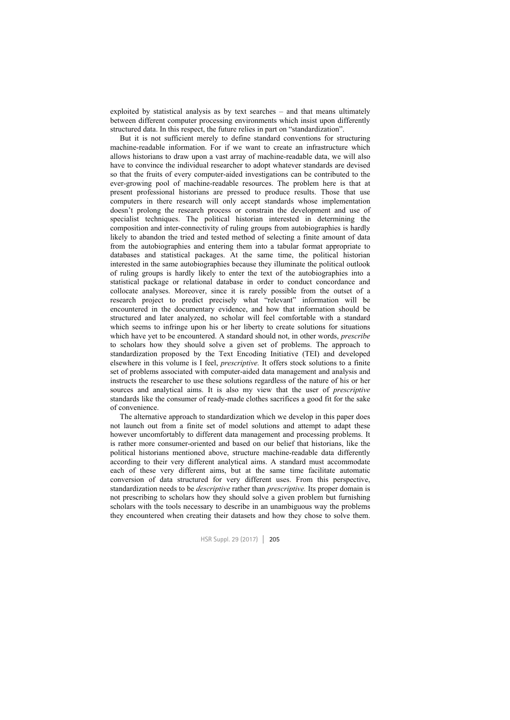exploited by statistical analysis as by text searches – and that means ultimately between different computer processing environments which insist upon differently structured data. In this respect, the future relies in part on "standardization".

But it is not sufficient merely to define standard conventions for structuring machine-readable information. For if we want to create an infrastructure which allows historians to draw upon a vast array of machine-readable data, we will also have to convince the individual researcher to adopt whatever standards are devised so that the fruits of every computer-aided investigations can be contributed to the ever-growing pool of machine-readable resources. The problem here is that at present professional historians are pressed to produce results. Those that use computers in there research will only accept standards whose implementation doesn't prolong the research process or constrain the development and use of specialist techniques. The political historian interested in determining the composition and inter-connectivity of ruling groups from autobiographies is hardly likely to abandon the tried and tested method of selecting a finite amount of data from the autobiographies and entering them into a tabular format appropriate to databases and statistical packages. At the same time, the political historian interested in the same autobiographies because they illuminate the political outlook of ruling groups is hardly likely to enter the text of the autobiographies into a statistical package or relational database in order to conduct concordance and collocate analyses. Moreover, since it is rarely possible from the outset of a research project to predict precisely what "relevant" information will be encountered in the documentary evidence, and how that information should be structured and later analyzed, no scholar will feel comfortable with a standard which seems to infringe upon his or her liberty to create solutions for situations which have yet to be encountered. A standard should not, in other words, *prescribe* to scholars how they should solve a given set of problems. The approach to standardization proposed by the Text Encoding Initiative (TEI) and developed elsewhere in this volume is I feel, *prescriptive.* It offers stock solutions to a finite set of problems associated with computer-aided data management and analysis and instructs the researcher to use these solutions regardless of the nature of his or her sources and analytical aims. It is also my view that the user of *prescriptive* standards like the consumer of ready-made clothes sacrifices a good fit for the sake of convenience.

The alternative approach to standardization which we develop in this paper does not launch out from a finite set of model solutions and attempt to adapt these however uncomfortably to different data management and processing problems. It is rather more consumer-oriented and based on our belief that historians, like the political historians mentioned above, structure machine-readable data differently according to their very different analytical aims. A standard must accommodate each of these very different aims, but at the same time facilitate automatic conversion of data structured for very different uses. From this perspective, standardization needs to be *descriptive* rather than *prescriptive.* Its proper domain is not prescribing to scholars how they should solve a given problem but furnishing scholars with the tools necessary to describe in an unambiguous way the problems they encountered when creating their datasets and how they chose to solve them.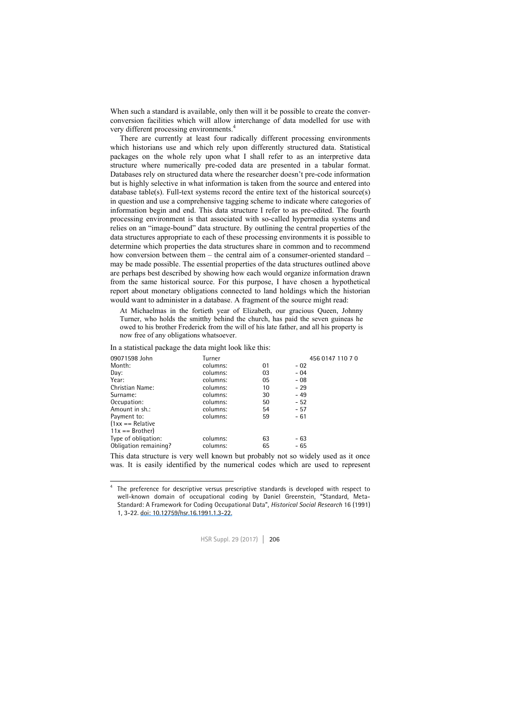When such a standard is available, only then will it be possible to create the converconversion facilities which will allow interchange of data modelled for use with very different processing environments.4

There are currently at least four radically different processing environments which historians use and which rely upon differently structured data. Statistical packages on the whole rely upon what I shall refer to as an interpretive data structure where numerically pre-coded data are presented in a tabular format. Databases rely on structured data where the researcher doesn't pre-code information but is highly selective in what information is taken from the source and entered into database table(s). Full-text systems record the entire text of the historical source(s) in question and use a comprehensive tagging scheme to indicate where categories of information begin and end. This data structure I refer to as pre-edited. The fourth processing environment is that associated with so-called hypermedia systems and relies on an "image-bound" data structure. By outlining the central properties of the data structures appropriate to each of these processing environments it is possible to determine which properties the data structures share in common and to recommend how conversion between them – the central aim of a consumer-oriented standard – may be made possible. The essential properties of the data structures outlined above are perhaps best described by showing how each would organize information drawn from the same historical source. For this purpose, I have chosen a hypothetical report about monetary obligations connected to land holdings which the historian would want to administer in a database. A fragment of the source might read:

At Michaelmas in the fortieth year of Elizabeth, our gracious Queen, Johnny Turner, who holds the smitthy behind the church, has paid the seven guineas he owed to his brother Frederick from the will of his late father, and all his property is now free of any obligations whatsoever.

In a statistical package the data might look like this:

| 09071598 John         | Turner   |    | 456 0147 110 7 0 |  |
|-----------------------|----------|----|------------------|--|
| Month:                | columns: | 01 | $-02$            |  |
| Dav:                  | columns: | 03 | $-04$            |  |
| Year:                 | columns: | 05 | $-08$            |  |
| Christian Name:       | columns: | 10 | $-29$            |  |
| Surname:              | columns: | 30 | - 49             |  |
| Occupation:           | columns: | 50 | $-52$            |  |
| Amount in sh.:        | columns: | 54 | $-57$            |  |
| Payment to:           | columns: | 59 | $-61$            |  |
| $1xx ==$ Relative     |          |    |                  |  |
| $11x == Brother$      |          |    |                  |  |
| Type of obligation:   | columns: | 63 | $-63$            |  |
| Obligation remaining? | columns: | 65 | $-65$            |  |
|                       |          |    |                  |  |

This data structure is very well known but probably not so widely used as it once was. It is easily identified by the numerical codes which are used to represent

 $\frac{1}{4}$  The preference for descriptive versus prescriptive standards is developed with respect to well-known domain of occupational coding by Daniel Greenstein, "Standard, Meta-Standard: A Framework for Coding Occupational Data", *Historical Social Research* 16 (1991) 1, 3-22. [doi: 10.12759/hsr.16.1991.1.3-22.](https://dx.doi.org/10.12759/hsr.16.1991.1.3-22)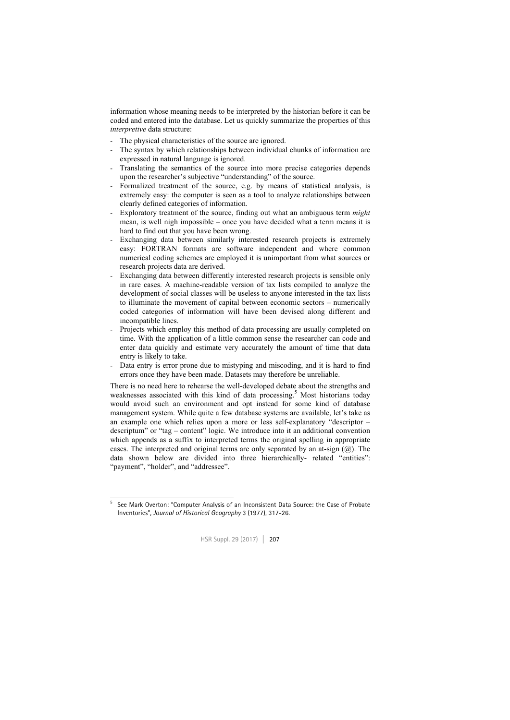information whose meaning needs to be interpreted by the historian before it can be coded and entered into the database. Let us quickly summarize the properties of this *interpretive* data structure:

- The physical characteristics of the source are ignored.
- The syntax by which relationships between individual chunks of information are expressed in natural language is ignored.
- Translating the semantics of the source into more precise categories depends upon the researcher's subjective "understanding" of the source.
- Formalized treatment of the source, e.g. by means of statistical analysis, is extremely easy: the computer is seen as a tool to analyze relationships between clearly defined categories of information.
- Exploratory treatment of the source, finding out what an ambiguous term *might* mean, is well nigh impossible – once you have decided what a term means it is hard to find out that you have been wrong.
- Exchanging data between similarly interested research projects is extremely easy: FORTRAN formats are software independent and where common numerical coding schemes are employed it is unimportant from what sources or research projects data are derived.
- Exchanging data between differently interested research projects is sensible only in rare cases. A machine-readable version of tax lists compiled to analyze the development of social classes will be useless to anyone interested in the tax lists to illuminate the movement of capital between economic sectors – numerically coded categories of information will have been devised along different and incompatible lines.
- Projects which employ this method of data processing are usually completed on time. With the application of a little common sense the researcher can code and enter data quickly and estimate very accurately the amount of time that data entry is likely to take.
- Data entry is error prone due to mistyping and miscoding, and it is hard to find errors once they have been made. Datasets may therefore be unreliable.

There is no need here to rehearse the well-developed debate about the strengths and weaknesses associated with this kind of data processing.<sup>5</sup> Most historians today would avoid such an environment and opt instead for some kind of database management system. While quite a few database systems are available, let's take as an example one which relies upon a more or less self-explanatory "descriptor – descriptum" or "tag – content" logic. We introduce into it an additional convention which appends as a suffix to interpreted terms the original spelling in appropriate cases. The interpreted and original terms are only separated by an at-sign  $(Q<sub>0</sub>)$ . The data shown below are divided into three hierarchically- related "entities": "payment", "holder", and "addressee".

<sup>1</sup> 5 See Mark Overton: "Computer Analysis of an Inconsistent Data Source: the Case of Probate Inventories", *Journal of Historical Geography* 3 (1977), 317-26.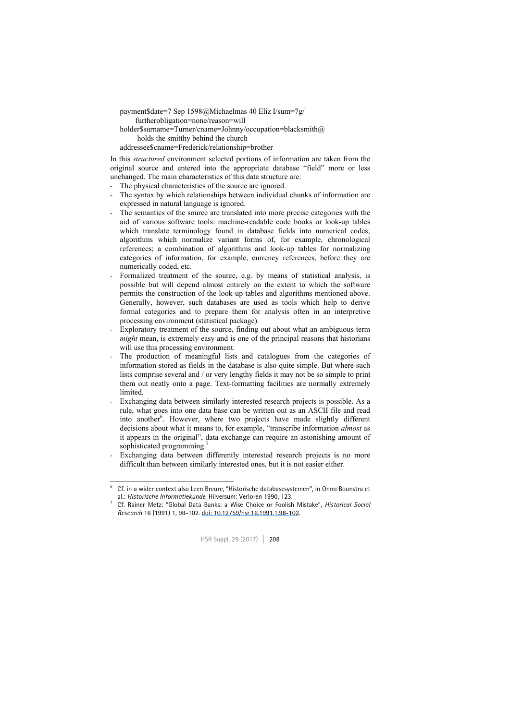payment\$date=7 Sep 1598@Michaelmas 40 Eliz I/sum=7g/

furtherobligation=none/reason=will

- holder\$surname=Turner/cname=Johnny/occupation=blacksmith@
	- holds the smitthy behind the church
- addressee\$cname=Frederick/relationship=brother

In this *structured* environment selected portions of information are taken from the original source and entered into the appropriate database "field" more or less unchanged. The main characteristics of this data structure are:

- The physical characteristics of the source are ignored.
- The syntax by which relationships between individual chunks of information are expressed in natural language is ignored.
- The semantics of the source are translated into more precise categories with the aid of various software tools: machine-readable code books or look-up tables which translate terminology found in database fields into numerical codes; algorithms which normalize variant forms of, for example, chronological references; a combination of algorithms and look-up tables for normalizing categories of information, for example, currency references, before they are numerically coded, etc.
- Formalized treatment of the source, e.g. by means of statistical analysis, is possible but will depend almost entirely on the extent to which the software permits the construction of the look-up tables and algorithms mentioned above. Generally, however, such databases are used as tools which help to derive formal categories and to prepare them for analysis often in an interpretive processing environment (statistical package).
- Exploratory treatment of the source, finding out about what an ambiguous term *might* mean, is extremely easy and is one of the principal reasons that historians will use this processing environment.
- The production of meaningful lists and catalogues from the categories of information stored as fields in the database is also quite simple. But where such lists comprise several and / or very lengthy fields it may not be so simple to print them out neatly onto a page. Text-formatting facilities are normally extremely **limited**
- Exchanging data between similarly interested research projects is possible. As a rule, what goes into one data base can be written out as an ASCII file and read into another<sup>6</sup>. However, where two projects have made slightly different decisions about what it means to, for example, "transcribe information *almost* as it appears in the original", data exchange can require an astonishing amount of sophisticated programming.
- Exchanging data between differently interested research projects is no more difficult than between similarly interested ones, but it is not easier either.

Cf. Rainer Metz: "Global Data Banks: a Wise Choice or Foolish Mistake", *Historical Social Research* 16 (1991) 1, 98-102. [doi: 10.12759/hsr.16.1991.1.98-102.](https://dx.doi.org/10.12759/hsr.16.1991.1.98-102)



 $\frac{1}{6}$  Cf. in a wider context also Leen Breure, "Historische databasesystemen", in Onno Boonstra et al.: *Historische Informatiekunde*, Hilversum: Verloren 1990, 123. 7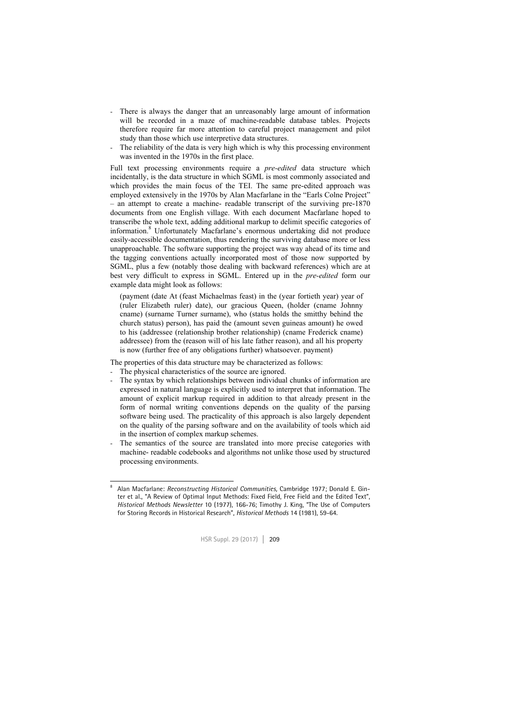- There is always the danger that an unreasonably large amount of information will be recorded in a maze of machine-readable database tables. Projects therefore require far more attention to careful project management and pilot study than those which use interpretive data structures.
- The reliability of the data is very high which is why this processing environment was invented in the 1970s in the first place.

Full text processing environments require a *pre-edited* data structure which incidentally, is the data structure in which SGML is most commonly associated and which provides the main focus of the TEI. The same pre-edited approach was employed extensively in the 1970s by Alan Macfarlane in the "Earls Colne Project" – an attempt to create a machine- readable transcript of the surviving pre-1870 documents from one English village. With each document Macfarlane hoped to transcribe the whole text, adding additional markup to delimit specific categories of information.8 Unfortunately Macfarlane's enormous undertaking did not produce easily-accessible documentation, thus rendering the surviving database more or less unapproachable. The software supporting the project was way ahead of its time and the tagging conventions actually incorporated most of those now supported by SGML, plus a few (notably those dealing with backward references) which are at best very difficult to express in SGML. Entered up in the *pre-edited* form our example data might look as follows:

(payment (date At (feast Michaelmas feast) in the (year fortieth year) year of (ruler Elizabeth ruler) date), our gracious Queen, (holder (cname Johnny cname) (surname Turner surname), who (status holds the smitthy behind the church status) person), has paid the (amount seven guineas amount) he owed to his (addressee (relationship brother relationship) (cname Frederick cname) addressee) from the (reason will of his late father reason), and all his property is now (further free of any obligations further) whatsoever. payment)

The properties of this data structure may be characterized as follows:

- The physical characteristics of the source are ignored.
- The syntax by which relationships between individual chunks of information are expressed in natural language is explicitly used to interpret that information. The amount of explicit markup required in addition to that already present in the form of normal writing conventions depends on the quality of the parsing software being used. The practicality of this approach is also largely dependent on the quality of the parsing software and on the availability of tools which aid in the insertion of complex markup schemes.
- The semantics of the source are translated into more precise categories with machine- readable codebooks and algorithms not unlike those used by structured processing environments.

<sup>-&</sup>lt;br>8 Alan Macfarlane: *Reconstructing Historical Communities,* Cambridge 1977; Donald E. Ginter et al., "A Review of Optimal Input Methods: Fixed Field, Free Field and the Edited Text", *Historical Methods Newsletter* 10 (1977), 166-76; Timothy J. King, "The Use of Computers for Storing Records in Historical Research", *Historical Methods* 14 (1981), 59-64.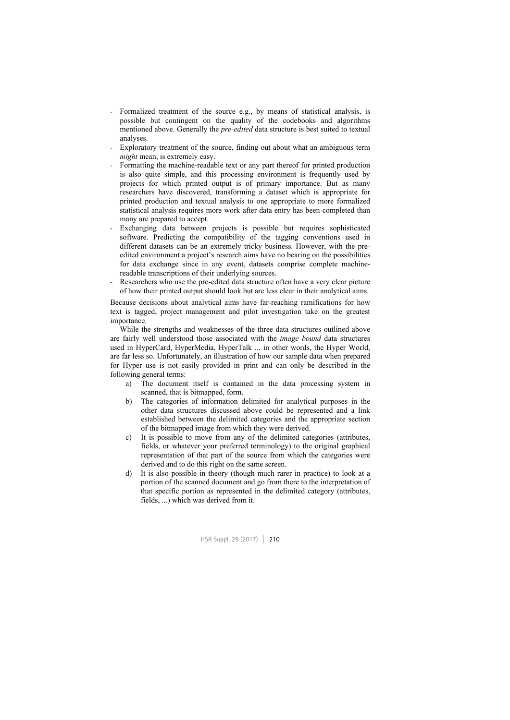- Formalized treatment of the source e.g., by means of statistical analysis, is possible but contingent on the quality of the codebooks and algorithms mentioned above. Generally the *pre-edited* data structure is best suited to textual analyses.
- Exploratory treatment of the source, finding out about what an ambiguous term *might* mean, is extremely easy.
- Formatting the machine-readable text or any part thereof for printed production is also quite simple, and this processing environment is frequently used by projects for which printed output is of primary importance. But as many researchers have discovered, transforming a dataset which is appropriate for printed production and textual analysis to one appropriate to more formalized statistical analysis requires more work after data entry has been completed than many are prepared to accept.
- Exchanging data between projects is possible but requires sophisticated software. Predicting the compatibility of the tagging conventions used in different datasets can be an extremely tricky business. However, with the preedited environment a project's research aims have no bearing on the possibilities for data exchange since in any event, datasets comprise complete machinereadable transcriptions of their underlying sources.
- Researchers who use the pre-edited data structure often have a very clear picture of how their printed output should look but are less clear in their analytical aims.

Because decisions about analytical aims have far-reaching ramifications for how text is tagged, project management and pilot investigation take on the greatest importance.

While the strengths and weaknesses of the three data structures outlined above are fairly well understood those associated with the *image bound* data structures used in HyperCard, HyperMedia, HyperTalk ... in other words, the Hyper World, are far less so. Unfortunately, an illustration of how our sample data when prepared for Hyper use is not easily provided in print and can only be described in the following general terms:

- a) The document itself is contained in the data processing system in scanned, that is bitmapped, form.
- b) The categories of information delimited for analytical purposes in the other data structures discussed above could be represented and a link established between the delimited categories and the appropriate section of the bitmapped image from which they were derived.
- c) It is possible to move from any of the delimited categories (attributes, fields, or whatever your preferred terminology) to the original graphical representation of that part of the source from which the categories were derived and to do this right on the same screen.
- d) It is also possible in theory (though much rarer in practice) to look at a portion of the scanned document and go from there to the interpretation of that specific portion as represented in the delimited category (attributes, fields, ...) which was derived from it.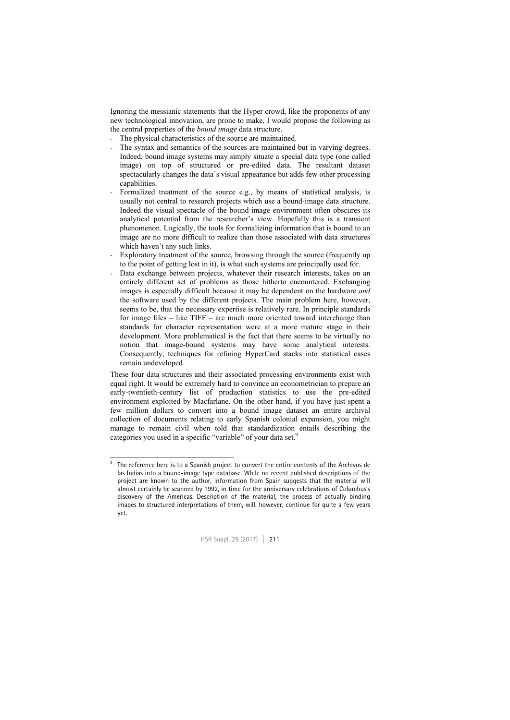Ignoring the messianic statements that the Hyper crowd, like the proponents of any new technological innovation, are prone to make, I would propose the following as the central properties of the *bound image* data structure.

- The physical characteristics of the source are maintained.
- The syntax and semantics of the sources are maintained but in varying degrees. Indeed, bound image systems may simply situate a special data type (one called image) on top of structured or pre-edited data. The resultant dataset spectacularly changes the data's visual appearance but adds few other processing capabilities.
- Formalized treatment of the source e.g., by means of statistical analysis, is usually not central to research projects which use a bound-image data structure. Indeed the visual spectacle of the bound-image environment often obscures its analytical potential from the researcher's view. Hopefully this is a transient phenomenon. Logically, the tools for formalizing information that is bound to an image are no more difficult to realize than those associated with data structures which haven't any such links.
- Exploratory treatment of the source, browsing through the source (frequently up to the point of getting lost in it), is what such systems are principally used for.
- Data exchange between projects, whatever their research interests, takes on an entirely different set of problems as those hitherto encountered. Exchanging images is especially difficult because it may be dependent on the hardware *and*  the software used by the different projects. The main problem here, however, seems to be, that the necessary expertise is relatively rare. In principle standards for image files – like TIFF – are much more oriented toward interchange than standards for character representation were at a more mature stage in their development. More problematical is the fact that there seems to be virtually no notion that image-bound systems may have some analytical interests. Consequently, techniques for refining HyperCard stacks into statistical cases remain undeveloped.

These four data structures and their associated processing environments exist with equal right. It would be extremely hard to convince an econometrician to prepare an early-twentieth-century list of production statistics to use the pre-edited environment exploited by Macfarlane. On the other hand, if you have just spent a few million dollars to convert into a bound image dataset an entire archival collection of documents relating to early Spanish colonial expansion, you might manage to remain civil when told that standardization entails describing the categories you used in a specific "variable" of your data set.<sup>9</sup>

1

<sup>9</sup> The reference here is to a Spanish project to convert the entire contents of the Archivos de las Indias into a bound-image type database. While no recent published descriptions of the project are known to the author, information from Spain suggests that the material will almost certainly be scanned by 1992, in time for the anniversary celebrations of Columbus's discovery of the Americas. Description of the material, the process of actually binding images to structured interpretations of them, will, however, continue for quite a few years yet.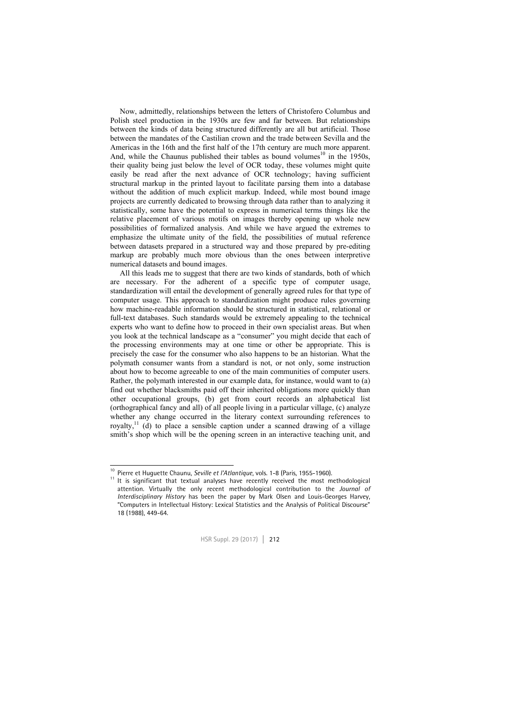Now, admittedly, relationships between the letters of Christofero Columbus and Polish steel production in the 1930s are few and far between. But relationships between the kinds of data being structured differently are all but artificial. Those between the mandates of the Castilian crown and the trade between Sevilla and the Americas in the 16th and the first half of the 17th century are much more apparent. And, while the Chaunus published their tables as bound volumes<sup>10</sup> in the  $1950s$ . their quality being just below the level of OCR today, these volumes might quite easily be read after the next advance of OCR technology; having sufficient structural markup in the printed layout to facilitate parsing them into a database without the addition of much explicit markup. Indeed, while most bound image projects are currently dedicated to browsing through data rather than to analyzing it statistically, some have the potential to express in numerical terms things like the relative placement of various motifs on images thereby opening up whole new possibilities of formalized analysis. And while we have argued the extremes to emphasize the ultimate unity of the field, the possibilities of mutual reference between datasets prepared in a structured way and those prepared by pre-editing markup are probably much more obvious than the ones between interpretive numerical datasets and bound images.

All this leads me to suggest that there are two kinds of standards, both of which are necessary. For the adherent of a specific type of computer usage, standardization will entail the development of generally agreed rules for that type of computer usage. This approach to standardization might produce rules governing how machine-readable information should be structured in statistical, relational or full-text databases. Such standards would be extremely appealing to the technical experts who want to define how to proceed in their own specialist areas. But when you look at the technical landscape as a "consumer" you might decide that each of the processing environments may at one time or other be appropriate. This is precisely the case for the consumer who also happens to be an historian. What the polymath consumer wants from a standard is not, or not only, some instruction about how to become agreeable to one of the main communities of computer users. Rather, the polymath interested in our example data, for instance, would want to (a) find out whether blacksmiths paid off their inherited obligations more quickly than other occupational groups, (b) get from court records an alphabetical list (orthographical fancy and all) of all people living in a particular village, (c) analyze whether any change occurred in the literary context surrounding references to royalty,11 (d) to place a sensible caption under a scanned drawing of a village smith's shop which will be the opening screen in an interactive teaching unit, and

<sup>&</sup>lt;sup>10</sup> Pierre et Huguette Chaunu, Seville et l'Atlantique, vols. 1-8 (Paris, 1955-1960).

<sup>&</sup>lt;sup>11</sup> It is significant that textual analyses have recently received the most methodological attention. Virtually the only recent methodological contribution to the *Journal of Interdisciplinary History* has been the paper by Mark Olsen and Louis-Georges Harvey, "Computers in Intellectual History: Lexical Statistics and the Analysis of Political Discourse" 18 (1988), 449-64.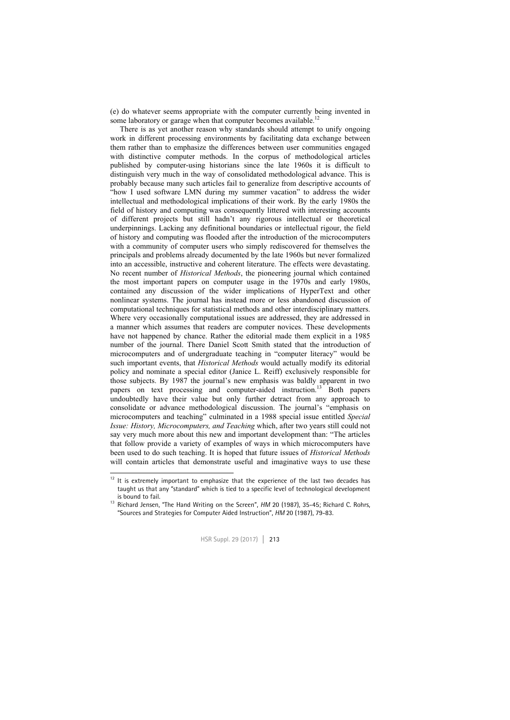(e) do whatever seems appropriate with the computer currently being invented in some laboratory or garage when that computer becomes available.

There is as yet another reason why standards should attempt to unify ongoing work in different processing environments by facilitating data exchange between them rather than to emphasize the differences between user communities engaged with distinctive computer methods. In the corpus of methodological articles published by computer-using historians since the late 1960s it is difficult to distinguish very much in the way of consolidated methodological advance. This is probably because many such articles fail to generalize from descriptive accounts of "how I used software LMN during my summer vacation" to address the wider intellectual and methodological implications of their work. By the early 1980s the field of history and computing was consequently littered with interesting accounts of different projects but still hadn't any rigorous intellectual or theoretical underpinnings. Lacking any definitional boundaries or intellectual rigour, the field of history and computing was flooded after the introduction of the microcomputers with a community of computer users who simply rediscovered for themselves the principals and problems already documented by the late 1960s but never formalized into an accessible, instructive and coherent literature. The effects were devastating. No recent number of *Historical Methods*, the pioneering journal which contained the most important papers on computer usage in the 1970s and early 1980s, contained any discussion of the wider implications of HyperText and other nonlinear systems. The journal has instead more or less abandoned discussion of computational techniques for statistical methods and other interdisciplinary matters. Where very occasionally computational issues are addressed, they are addressed in a manner which assumes that readers are computer novices. These developments have not happened by chance. Rather the editorial made them explicit in a 1985 number of the journal. There Daniel Scott Smith stated that the introduction of microcomputers and of undergraduate teaching in "computer literacy" would be such important events, that *Historical Methods* would actually modify its editorial policy and nominate a special editor (Janice L. Reiff) exclusively responsible for those subjects. By 1987 the journal's new emphasis was baldly apparent in two papers on text processing and computer-aided instruction.<sup>13</sup> Both papers undoubtedly have their value but only further detract from any approach to consolidate or advance methodological discussion. The journal's "emphasis on microcomputers and teaching" culminated in a 1988 special issue entitled *Special Issue: History, Microcomputers, and Teaching* which, after two years still could not say very much more about this new and important development than: "The articles that follow provide a variety of examples of ways in which microcomputers have been used to do such teaching. It is hoped that future issues of *Historical Methods* will contain articles that demonstrate useful and imaginative ways to use these

 $12$ It is extremely important to emphasize that the experience of the last two decades has taught us that any "standard" which is tied to a specific level of technological development

is bound to fail.<br><sup>13</sup> Richard Jensen, "The Hand Writing on the Screen", *HM* 20 (1987), 35-45; Richard C. Rohrs, "Sources and Strategies for Computer Aided Instruction", *HM* 20 (1987), 79-83.

HSR Suppl. 29 (2017) │ 213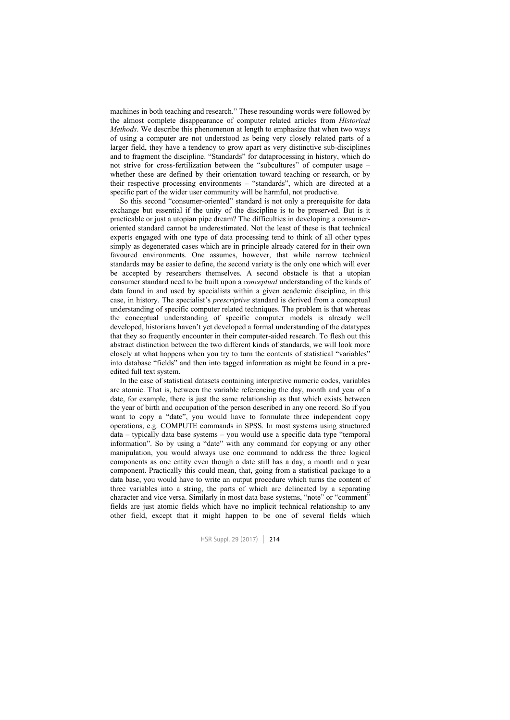machines in both teaching and research." These resounding words were followed by the almost complete disappearance of computer related articles from *Historical Methods*. We describe this phenomenon at length to emphasize that when two ways of using a computer are not understood as being very closely related parts of a larger field, they have a tendency to grow apart as very distinctive sub-disciplines and to fragment the discipline. "Standards" for dataprocessing in history, which do not strive for cross-fertilization between the "subcultures" of computer usage – whether these are defined by their orientation toward teaching or research, or by their respective processing environments – "standards", which are directed at a specific part of the wider user community will be harmful, not productive.

So this second "consumer-oriented" standard is not only a prerequisite for data exchange but essential if the unity of the discipline is to be preserved. But is it practicable or just a utopian pipe dream? The difficulties in developing a consumeroriented standard cannot be underestimated. Not the least of these is that technical experts engaged with one type of data processing tend to think of all other types simply as degenerated cases which are in principle already catered for in their own favoured environments. One assumes, however, that while narrow technical standards may be easier to define, the second variety is the only one which will ever be accepted by researchers themselves. A second obstacle is that a utopian consumer standard need to be built upon a *conceptual* understanding of the kinds of data found in and used by specialists within a given academic discipline, in this case, in history. The specialist's *prescriptive* standard is derived from a conceptual understanding of specific computer related techniques. The problem is that whereas the conceptual understanding of specific computer models is already well developed, historians haven't yet developed a formal understanding of the datatypes that they so frequently encounter in their computer-aided research. To flesh out this abstract distinction between the two different kinds of standards, we will look more closely at what happens when you try to turn the contents of statistical "variables" into database "fields" and then into tagged information as might be found in a preedited full text system.

In the case of statistical datasets containing interpretive numeric codes, variables are atomic. That is, between the variable referencing the day, month and year of a date, for example, there is just the same relationship as that which exists between the year of birth and occupation of the person described in any one record. So if you want to copy a "date", you would have to formulate three independent copy operations, e.g. COMPUTE commands in SPSS. In most systems using structured data – typically data base systems – you would use a specific data type "temporal information". So by using a "date" with any command for copying or any other manipulation, you would always use one command to address the three logical components as one entity even though a date still has a day, a month and a year component. Practically this could mean, that, going from a statistical package to a data base, you would have to write an output procedure which turns the content of three variables into a string, the parts of which are delineated by a separating character and vice versa. Similarly in most data base systems, "note" or "comment" fields are just atomic fields which have no implicit technical relationship to any other field, except that it might happen to be one of several fields which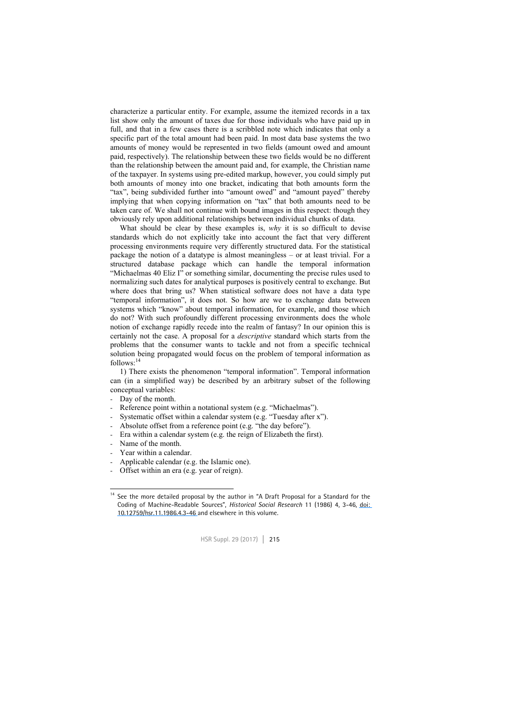characterize a particular entity. For example, assume the itemized records in a tax list show only the amount of taxes due for those individuals who have paid up in full, and that in a few cases there is a scribbled note which indicates that only a specific part of the total amount had been paid. In most data base systems the two amounts of money would be represented in two fields (amount owed and amount paid, respectively). The relationship between these two fields would be no different than the relationship between the amount paid and, for example, the Christian name of the taxpayer. In systems using pre-edited markup, however, you could simply put both amounts of money into one bracket, indicating that both amounts form the "tax", being subdivided further into "amount owed" and "amount payed" thereby implying that when copying information on "tax" that both amounts need to be taken care of. We shall not continue with bound images in this respect: though they obviously rely upon additional relationships between individual chunks of data.

What should be clear by these examples is, *why* it is so difficult to devise standards which do not explicitly take into account the fact that very different processing environments require very differently structured data. For the statistical package the notion of a datatype is almost meaningless – or at least trivial. For a structured database package which can handle the temporal information "Michaelmas 40 Eliz I" or something similar, documenting the precise rules used to normalizing such dates for analytical purposes is positively central to exchange. But where does that bring us? When statistical software does not have a data type "temporal information", it does not. So how are we to exchange data between systems which "know" about temporal information, for example, and those which do not? With such profoundly different processing environments does the whole notion of exchange rapidly recede into the realm of fantasy? In our opinion this is certainly not the case. A proposal for a *descriptive* standard which starts from the problems that the consumer wants to tackle and not from a specific technical solution being propagated would focus on the problem of temporal information as follows:<sup>14</sup>

1) There exists the phenomenon "temporal information". Temporal information can (in a simplified way) be described by an arbitrary subset of the following conceptual variables:

- Day of the month.
- Reference point within a notational system (e.g. "Michaelmas").
- Systematic offset within a calendar system (e.g. "Tuesday after x").
- Absolute offset from a reference point (e.g. "the day before").
- Era within a calendar system (e.g. the reign of Elizabeth the first).
- Name of the month.

1

- Year within a calendar.
- Applicable calendar (e.g. the Islamic one).
- Offset within an era (e.g. year of reign).

<sup>&</sup>lt;sup>14</sup> See the more detailed proposal by the author in "A Draft Proposal for a Standard for the Coding of Machine-Readable Sources", *Historical Social Research* 11 (1986) 4, 3-46, [doi:](https://dx.doi.org/10.12759/hsr.11.1986.4.3-46)  [10.12759/hsr.11.1986.4.3-46 a](https://dx.doi.org/10.12759/hsr.11.1986.4.3-46)nd elsewhere in this volume.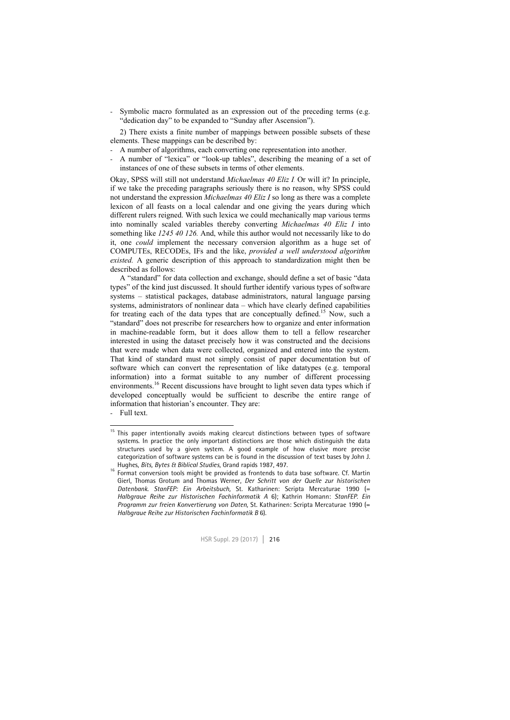Symbolic macro formulated as an expression out of the preceding terms (e.g. "dedication day" to be expanded to "Sunday after Ascension").

2) There exists a finite number of mappings between possible subsets of these elements. These mappings can be described by:

- A number of algorithms, each converting one representation into another.
- A number of "lexica" or "look-up tables", describing the meaning of a set of instances of one of these subsets in terms of other elements.

Okay, SPSS will still not understand *Michaelmas 40 Eliz I.* Or will it? In principle, if we take the preceding paragraphs seriously there is no reason, why SPSS could not understand the expression *Michaelmas 40 Eliz I* so long as there was a complete lexicon of all feasts on a local calendar and one giving the years during which different rulers reigned. With such lexica we could mechanically map various terms into nominally scaled variables thereby converting *Michaelmas 40 Eliz I* into something like *1245 40 126.* And, while this author would not necessarily like to do it, one *could* implement the necessary conversion algorithm as a huge set of COMPUTEs, RECODEs, IFs and the like, *provided a well understood algorithm existed.* A generic description of this approach to standardization might then be described as follows:

A "standard" for data collection and exchange, should define a set of basic "data types" of the kind just discussed. It should further identify various types of software systems – statistical packages, database administrators, natural language parsing systems, administrators of nonlinear data – which have clearly defined capabilities for treating each of the data types that are conceptually defined.<sup>15</sup> Now, such a "standard" does not prescribe for researchers how to organize and enter information in machine-readable form, but it does allow them to tell a fellow researcher interested in using the dataset precisely how it was constructed and the decisions that were made when data were collected, organized and entered into the system. That kind of standard must not simply consist of paper documentation but of software which can convert the representation of like datatypes (e.g. temporal information) into a format suitable to any number of different processing environments.<sup>16</sup> Recent discussions have brought to light seven data types which if developed conceptually would be sufficient to describe the entire range of information that historian's encounter. They are:

- Full text.

-

<sup>&</sup>lt;sup>15</sup> This paper intentionally avoids making clearcut distinctions between types of software systems. In practice the only important distinctions are those which distinguish the data structures used by a given system. A good example of how elusive more precise categorization of software systems can be is found in the discussion of text bases by John J.

Hughes, *Bits, Bytes & Biblical Studies*, Grand rapids 1987, 497. 16 Format conversion tools might be provided as frontends to data base software. Cf. Martin Gierl, Thomas Grotum and Thomas Werner, *Der Schritt von der Quelle zur historischen Datenbank. StanFEP: Ein Arbeitsbuch,* St. Katharinen: Scripta Mercaturae 1990 (= *Halbgraue Reihe zur Historischen Fachinformatik A* 6); Kathrin Homann: *StanFEP. Ein Programm zur freien Konvertierung von Daten,* St. Katharinen: Scripta Mercaturae 1990 (= *Halbgraue Reihe zur Historischen Fachinformatik B* 6).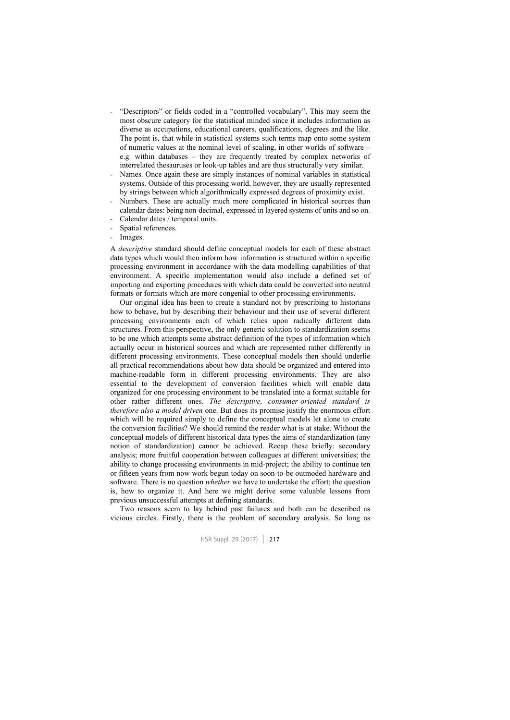- "Descriptors" or fields coded in a "controlled vocabulary". This may seem the most obscure category for the statistical minded since it includes information as diverse as occupations, educational careers, qualifications, degrees and the like. The point is, that while in statistical systems such terms map onto some system of numeric values at the nominal level of scaling, in other worlds of software – e.g. within databases – they are frequently treated by complex networks of interrelated thesauruses or look-up tables and are thus structurally very similar.
- Names. Once again these are simply instances of nominal variables in statistical systems. Outside of this processing world, however, they are usually represented by strings between which algorithmically expressed degrees of proximity exist.
- Numbers. These are actually much more complicated in historical sources than calendar dates: being non-decimal, expressed in layered systems of units and so on.
- Calendar dates / temporal units.
- Spatial references.
- Images.

A *descriptive* standard should define conceptual models for each of these abstract data types which would then inform how information is structured within a specific processing environment in accordance with the data modelling capabilities of that environment. A specific implementation would also include a defined set of importing and exporting procedures with which data could be converted into neutral formats or formats which are more congenial to other processing environments.

Our original idea has been to create a standard not by prescribing to historians how to behave, but by describing their behaviour and their use of several different processing environments each of which relies upon radically different data structures. From this perspective, the only generic solution to standardization seems to be one which attempts some abstract definition of the types of information which actually occur in historical sources and which are represented rather differently in different processing environments. These conceptual models then should underlie all practical recommendations about how data should be organized and entered into machine-readable form in different processing environments. They are also essential to the development of conversion facilities which will enable data organized for one processing environment to be translated into a format suitable for other rather different ones. *The descriptive, consumer-oriented standard is therefore also a model driven* one. But does its promise justify the enormous effort which will be required simply to define the conceptual models let alone to create the conversion facilities? We should remind the reader what is at stake. Without the conceptual models of different historical data types the aims of standardization (any notion of standardization) cannot be achieved. Recap these briefly: secondary analysis; more fruitful cooperation between colleagues at different universities; the ability to change processing environments in mid-project; the ability to continue ten or fifteen years from now work begun today on soon-to-be outmoded hardware and software. There is no question *whether* we have to undertake the effort; the question is, how to organize it. And here we might derive some valuable lessons from previous unsuccessful attempts at defining standards.

Two reasons seem to lay behind past failures and both can be described as vicious circles. Firstly, there is the problem of secondary analysis. So long as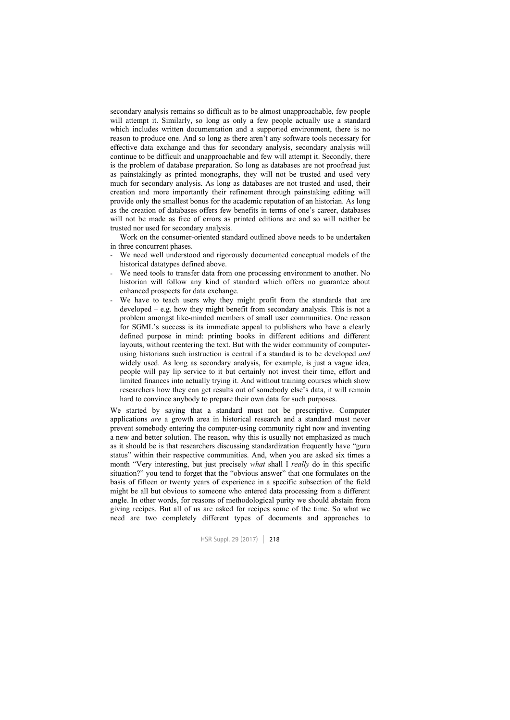secondary analysis remains so difficult as to be almost unapproachable, few people will attempt it. Similarly, so long as only a few people actually use a standard which includes written documentation and a supported environment, there is no reason to produce one. And so long as there aren't any software tools necessary for effective data exchange and thus for secondary analysis, secondary analysis will continue to be difficult and unapproachable and few will attempt it. Secondly, there is the problem of database preparation. So long as databases are not proofread just as painstakingly as printed monographs, they will not be trusted and used very much for secondary analysis. As long as databases are not trusted and used, their creation and more importantly their refinement through painstaking editing will provide only the smallest bonus for the academic reputation of an historian. As long as the creation of databases offers few benefits in terms of one's career, databases will not be made as free of errors as printed editions are and so will neither be trusted nor used for secondary analysis.

Work on the consumer-oriented standard outlined above needs to be undertaken in three concurrent phases.

- We need well understood and rigorously documented conceptual models of the historical datatypes defined above.
- We need tools to transfer data from one processing environment to another. No historian will follow any kind of standard which offers no guarantee about enhanced prospects for data exchange.
- We have to teach users why they might profit from the standards that are developed – e.g. how they might benefit from secondary analysis. This is not a problem amongst like-minded members of small user communities. One reason for SGML's success is its immediate appeal to publishers who have a clearly defined purpose in mind: printing books in different editions and different layouts, without reentering the text. But with the wider community of computerusing historians such instruction is central if a standard is to be developed *and*  widely used. As long as secondary analysis, for example, is just a vague idea, people will pay lip service to it but certainly not invest their time, effort and limited finances into actually trying it. And without training courses which show researchers how they can get results out of somebody else's data, it will remain hard to convince anybody to prepare their own data for such purposes.

We started by saying that a standard must not be prescriptive. Computer applications *are* a growth area in historical research and a standard must never prevent somebody entering the computer-using community right now and inventing a new and better solution. The reason, why this is usually not emphasized as much as it should be is that researchers discussing standardization frequently have "guru status" within their respective communities. And, when you are asked six times a month "Very interesting, but just precisely *what* shall I *really* do in this specific situation?" you tend to forget that the "obvious answer" that one formulates on the basis of fifteen or twenty years of experience in a specific subsection of the field might be all but obvious to someone who entered data processing from a different angle. In other words, for reasons of methodological purity we should abstain from giving recipes. But all of us are asked for recipes some of the time. So what we need are two completely different types of documents and approaches to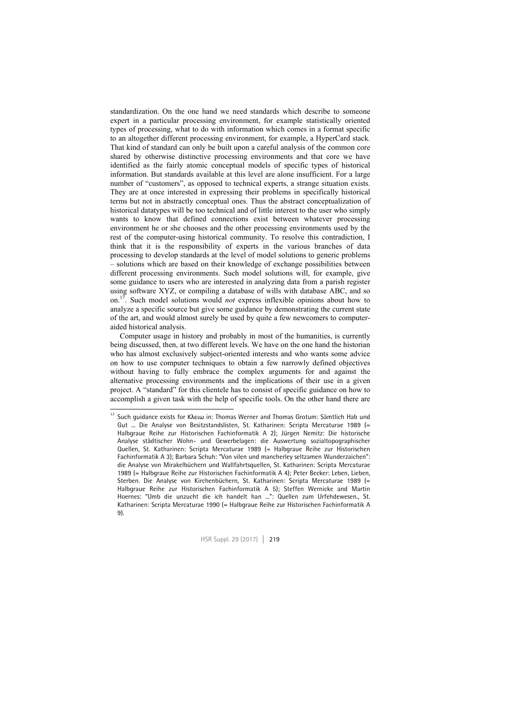standardization. On the one hand we need standards which describe to someone expert in a particular processing environment, for example statistically oriented types of processing, what to do with information which comes in a format specific to an altogether different processing environment, for example, a HyperCard stack. That kind of standard can only be built upon a careful analysis of the common core shared by otherwise distinctive processing environments and that core we have identified as the fairly atomic conceptual models of specific types of historical information. But standards available at this level are alone insufficient. For a large number of "customers", as opposed to technical experts, a strange situation exists. They are at once interested in expressing their problems in specifically historical terms but not in abstractly conceptual ones. Thus the abstract conceptualization of historical datatypes will be too technical and of little interest to the user who simply wants to know that defined connections exist between whatever processing environment he or she chooses and the other processing environments used by the rest of the computer-using historical community. To resolve this contradiction, I think that it is the responsibility of experts in the various branches of data processing to develop standards at the level of model solutions to generic problems – solutions which are based on their knowledge of exchange possibilities between different processing environments. Such model solutions will, for example, give some guidance to users who are interested in analyzing data from a parish register using software XYZ, or compiling a database of wills with database ABC, and so on.17. Such model solutions would *not* express inflexible opinions about how to analyze a specific source but give some guidance by demonstrating the current state of the art, and would almost surely be used by quite a few newcomers to computeraided historical analysis.

Computer usage in history and probably in most of the humanities, is currently being discussed, then, at two different levels. We have on the one hand the historian who has almost exclusively subject-oriented interests and who wants some advice on how to use computer techniques to obtain a few narrowly defined objectives without having to fully embrace the complex arguments for and against the alternative processing environments and the implications of their use in a given project. A "standard" for this clientele has to consist of specific guidance on how to accomplish a given task with the help of specific tools. On the other hand there are

-

<sup>&</sup>lt;sup>17</sup> Such guidance exists for Κλειω in: Thomas Werner and Thomas Grotum: Sämtlich Hab und Gut ... Die Analyse von Besitzstandslisten, St. Katharinen: Scripta Mercaturae 1989 (= Halbgraue Reihe zur Historischen Fachinformatik A 2); Jürgen Nemitz: Die historische Analyse städtischer Wohn- und Gewerbelagen: die Auswertung sozialtopographischer Quellen, St. Katharinen: Scripta Mercaturae 1989 (= Halbgraue Reihe zur Historischen Fachinformatik A 3); Barbara Schuh: "Von vilen und mancherley seltzamen Wunderzaichen": die Analyse von Mirakelbüchern und Wallfahrtsquellen, St. Katharinen: Scripta Mercaturae 1989 (= Halbgraue Reihe zur Historischen Fachinformatik A 4); Peter Becker: Leben, Lieben, Sterben. Die Analyse von Kirchenbüchern, St. Katharinen: Scripta Mercaturae 1989 (= Halbgraue Reihe zur Historischen Fachinformatik A 5); Steffen Wernicke and Martin Hoernes: "Umb die unzucht die ich handelt han ...": Quellen zum Urfehdewesen., St. Katharinen: Scripta Mercaturae 1990 (= Halbgraue Reihe zur Historischen Fachinformatik A 9).